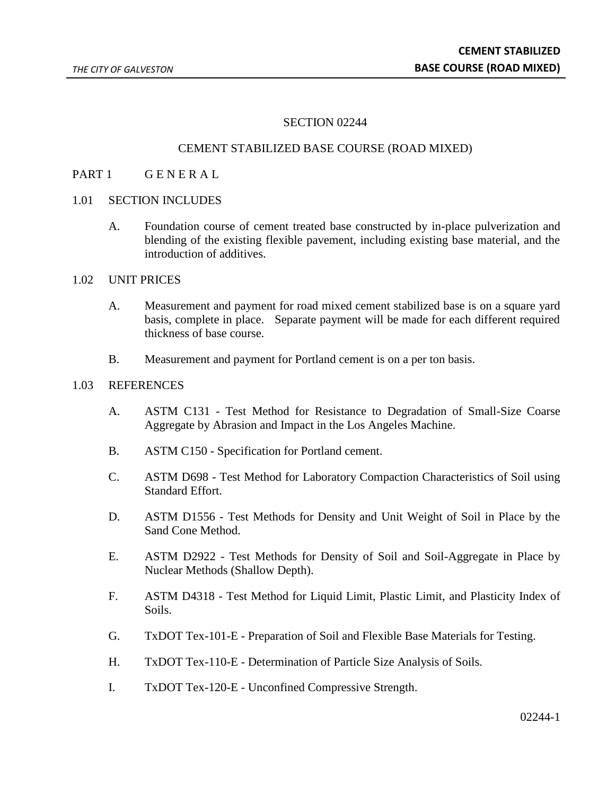#### SECTION 02244

#### CEMENT STABILIZED BASE COURSE (ROAD MIXED)

#### PART 1 GENERAL

# 1.01 SECTION INCLUDES

A. Foundation course of cement treated base constructed by in-place pulverization and blending of the existing flexible pavement, including existing base material, and the introduction of additives.

#### 1.02 UNIT PRICES

- A. Measurement and payment for road mixed cement stabilized base is on a square yard basis, complete in place. Separate payment will be made for each different required thickness of base course.
- B. Measurement and payment for Portland cement is on a per ton basis.

#### 1.03 REFERENCES

- A. ASTM C131 Test Method for Resistance to Degradation of Small-Size Coarse Aggregate by Abrasion and Impact in the Los Angeles Machine.
- B. ASTM C150 Specification for Portland cement.
- C. ASTM D698 Test Method for Laboratory Compaction Characteristics of Soil using Standard Effort.
- D. ASTM D1556 Test Methods for Density and Unit Weight of Soil in Place by the Sand Cone Method.
- E. ASTM D2922 Test Methods for Density of Soil and Soil-Aggregate in Place by Nuclear Methods (Shallow Depth).
- F. ASTM D4318 Test Method for Liquid Limit, Plastic Limit, and Plasticity Index of Soils.
- G. TxDOT Tex-101-E Preparation of Soil and Flexible Base Materials for Testing.
- H. TxDOT Tex-110-E Determination of Particle Size Analysis of Soils.
- I. TxDOT Tex-120-E Unconfined Compressive Strength.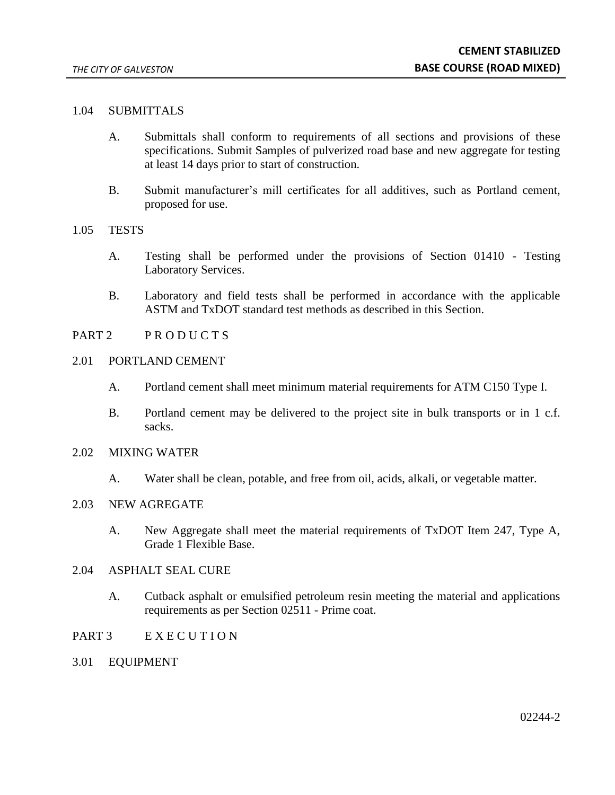# 1.04 SUBMITTALS

- A. Submittals shall conform to requirements of all sections and provisions of these specifications. Submit Samples of pulverized road base and new aggregate for testing at least 14 days prior to start of construction.
- B. Submit manufacturer's mill certificates for all additives, such as Portland cement, proposed for use.
- 1.05 TESTS
	- A. Testing shall be performed under the provisions of Section 01410 Testing Laboratory Services.
	- B. Laboratory and field tests shall be performed in accordance with the applicable ASTM and TxDOT standard test methods as described in this Section.
- PART 2 PRODUCTS
- 2.01 PORTLAND CEMENT
	- A. Portland cement shall meet minimum material requirements for ATM C150 Type I.
	- B. Portland cement may be delivered to the project site in bulk transports or in 1 c.f. sacks.
- 2.02 MIXING WATER
	- A. Water shall be clean, potable, and free from oil, acids, alkali, or vegetable matter.
- 2.03 NEW AGREGATE
	- A. New Aggregate shall meet the material requirements of TxDOT Item 247, Type A, Grade 1 Flexible Base.
- 2.04 ASPHALT SEAL CURE
	- A. Cutback asphalt or emulsified petroleum resin meeting the material and applications requirements as per Section 02511 - Prime coat.
- PART 3 EXECUTION
- 3.01 EQUIPMENT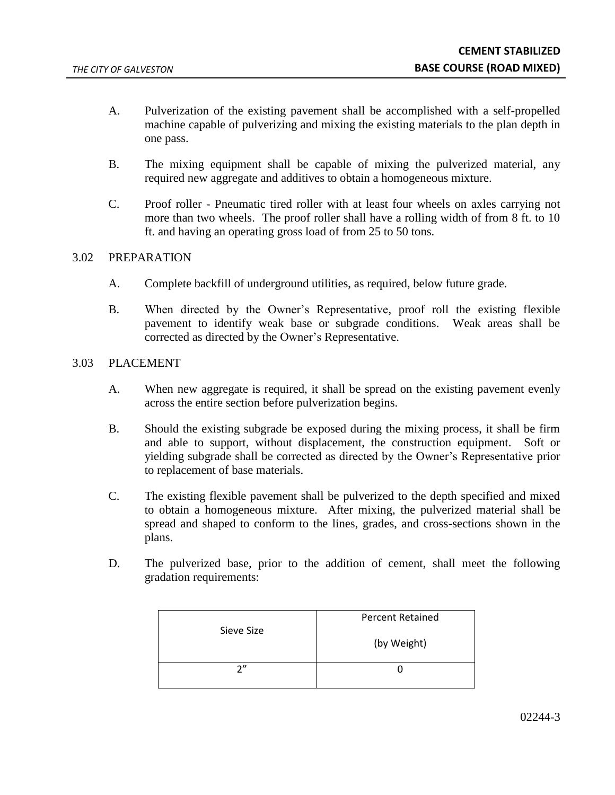- A. Pulverization of the existing pavement shall be accomplished with a self-propelled machine capable of pulverizing and mixing the existing materials to the plan depth in one pass.
- B. The mixing equipment shall be capable of mixing the pulverized material, any required new aggregate and additives to obtain a homogeneous mixture.
- C. Proof roller Pneumatic tired roller with at least four wheels on axles carrying not more than two wheels. The proof roller shall have a rolling width of from 8 ft. to 10 ft. and having an operating gross load of from 25 to 50 tons.

# 3.02 PREPARATION

- A. Complete backfill of underground utilities, as required, below future grade.
- B. When directed by the Owner's Representative, proof roll the existing flexible pavement to identify weak base or subgrade conditions. Weak areas shall be corrected as directed by the Owner's Representative.

# 3.03 PLACEMENT

- A. When new aggregate is required, it shall be spread on the existing pavement evenly across the entire section before pulverization begins.
- B. Should the existing subgrade be exposed during the mixing process, it shall be firm and able to support, without displacement, the construction equipment. Soft or yielding subgrade shall be corrected as directed by the Owner's Representative prior to replacement of base materials.
- C. The existing flexible pavement shall be pulverized to the depth specified and mixed to obtain a homogeneous mixture. After mixing, the pulverized material shall be spread and shaped to conform to the lines, grades, and cross-sections shown in the plans.
- D. The pulverized base, prior to the addition of cement, shall meet the following gradation requirements:

| Sieve Size | <b>Percent Retained</b> |
|------------|-------------------------|
|            | (by Weight)             |
| 2''        |                         |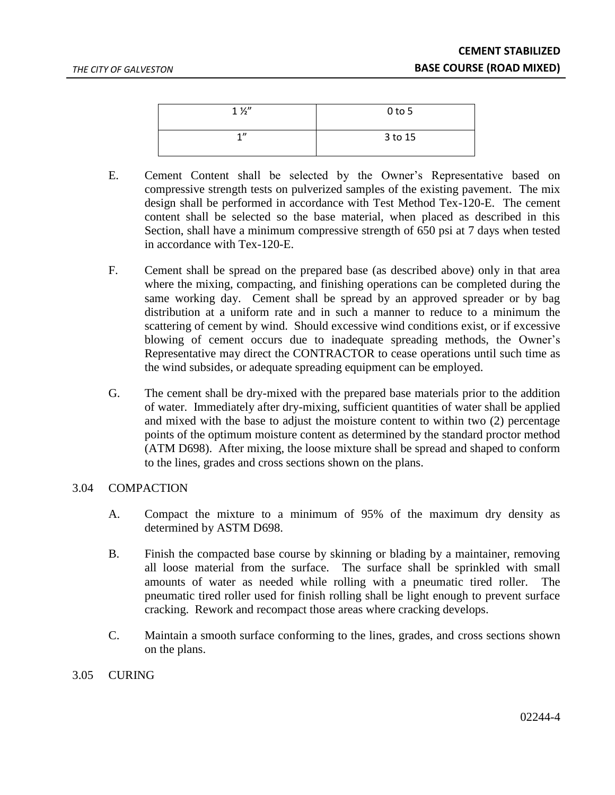| $1\frac{1}{2}$ | $0$ to 5 |
|----------------|----------|
| 1              | 3 to 15  |

- E. Cement Content shall be selected by the Owner's Representative based on compressive strength tests on pulverized samples of the existing pavement. The mix design shall be performed in accordance with Test Method Tex-120-E. The cement content shall be selected so the base material, when placed as described in this Section, shall have a minimum compressive strength of 650 psi at 7 days when tested in accordance with Tex-120-E.
- F. Cement shall be spread on the prepared base (as described above) only in that area where the mixing, compacting, and finishing operations can be completed during the same working day. Cement shall be spread by an approved spreader or by bag distribution at a uniform rate and in such a manner to reduce to a minimum the scattering of cement by wind. Should excessive wind conditions exist, or if excessive blowing of cement occurs due to inadequate spreading methods, the Owner's Representative may direct the CONTRACTOR to cease operations until such time as the wind subsides, or adequate spreading equipment can be employed.
- G. The cement shall be dry-mixed with the prepared base materials prior to the addition of water. Immediately after dry-mixing, sufficient quantities of water shall be applied and mixed with the base to adjust the moisture content to within two (2) percentage points of the optimum moisture content as determined by the standard proctor method (ATM D698). After mixing, the loose mixture shall be spread and shaped to conform to the lines, grades and cross sections shown on the plans.

# 3.04 COMPACTION

- A. Compact the mixture to a minimum of 95% of the maximum dry density as determined by ASTM D698.
- B. Finish the compacted base course by skinning or blading by a maintainer, removing all loose material from the surface. The surface shall be sprinkled with small amounts of water as needed while rolling with a pneumatic tired roller. The pneumatic tired roller used for finish rolling shall be light enough to prevent surface cracking. Rework and recompact those areas where cracking develops.
- C. Maintain a smooth surface conforming to the lines, grades, and cross sections shown on the plans.

#### 3.05 CURING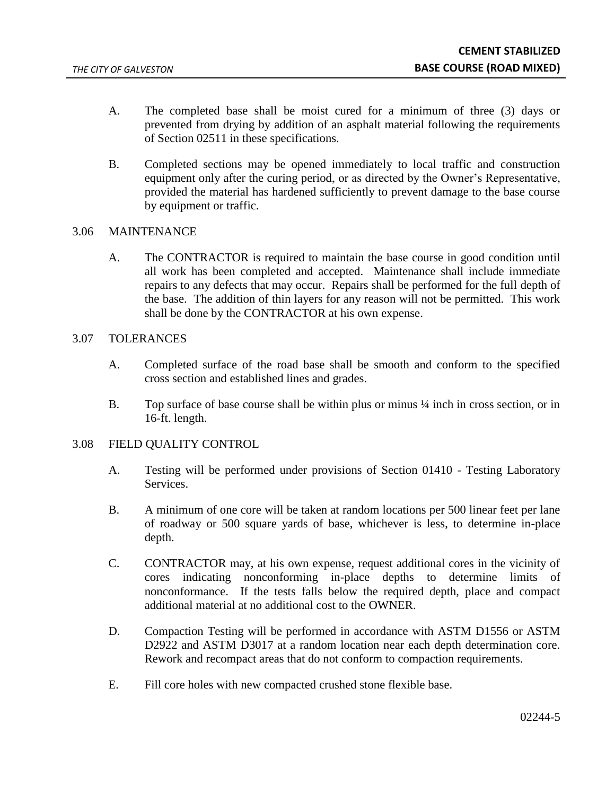- A. The completed base shall be moist cured for a minimum of three (3) days or prevented from drying by addition of an asphalt material following the requirements of Section 02511 in these specifications.
- B. Completed sections may be opened immediately to local traffic and construction equipment only after the curing period, or as directed by the Owner's Representative, provided the material has hardened sufficiently to prevent damage to the base course by equipment or traffic.

# 3.06 MAINTENANCE

A. The CONTRACTOR is required to maintain the base course in good condition until all work has been completed and accepted. Maintenance shall include immediate repairs to any defects that may occur. Repairs shall be performed for the full depth of the base. The addition of thin layers for any reason will not be permitted. This work shall be done by the CONTRACTOR at his own expense.

# 3.07 TOLERANCES

- A. Completed surface of the road base shall be smooth and conform to the specified cross section and established lines and grades.
- B. Top surface of base course shall be within plus or minus  $\frac{1}{4}$  inch in cross section, or in 16-ft. length.

# 3.08 FIELD QUALITY CONTROL

- A. Testing will be performed under provisions of Section 01410 Testing Laboratory Services.
- B. A minimum of one core will be taken at random locations per 500 linear feet per lane of roadway or 500 square yards of base, whichever is less, to determine in-place depth.
- C. CONTRACTOR may, at his own expense, request additional cores in the vicinity of cores indicating nonconforming in-place depths to determine limits of nonconformance. If the tests falls below the required depth, place and compact additional material at no additional cost to the OWNER.
- D. Compaction Testing will be performed in accordance with ASTM D1556 or ASTM D2922 and ASTM D3017 at a random location near each depth determination core. Rework and recompact areas that do not conform to compaction requirements.
- E. Fill core holes with new compacted crushed stone flexible base.